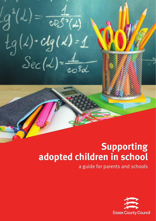$g^{2}(\lambda) = \frac{1}{\cos^{2}(\lambda)}$ <br>tg( $\lambda$ ) · clg( $\lambda$ ) = 1

# **Supporting adopted children in school**

a guide for parents and schools

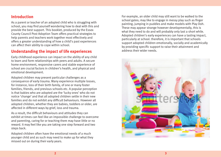### **Introduction**

As a parent or teacher of an adopted child who is struggling with school, you may find yourself wondering how to deal with this and provide the best support. This booklet, produced by the Essex County Council Post Adoption Team offers practical strategies to help parents and teachers work together most effectively and offers a greater understanding of how a child's past experiences can affect their ability to cope within school.

### **Understanding the impact of life experiences**

Early childhood experience can impact on the ability of any child to learn and form relationships with peers and adults. A secure home environment, responsive carers and stable experience of school are crucial factors in children's health, and physical and emotional development.

Adopted children may present particular challenges as a consequence of early trauma. Many experience multiple losses, for instance, loss of their birth family, of one or many foster families, friends, and previous schools etc. A popular perception is that babies who are adopted are the 'lucky ones' who do not notice 'change' and that all adopted children settle in their new families and do not exhibit any difficult behaviours. However all adopted children, whether they are babies, toddlers or older, are affected in different ways by grief, loss and trauma.

As a result, the difficult behaviours and attitudes they can exhibit at times can feel like an impossible challenge to overcome and parenting, caring for or teaching them may have little or no reward. It may feel like you are taking one step forward and two steps back.

Adopted children often have the emotional needs of a much younger child and as such may need to make up for what they missed out on during their early years.

For example, an older child may still want to be walked to the school gates; may like to engage in messy play such as finger painting, jumping in puddles and make models with Play Doh. These may appear strange however developmentally, this is what they need to do and will probably only last a short while. Adopted children's early experiences can have a lasting impact, particularly at school. therefore, it is important that schools support adopted children emotionally, socially and academically by providing specific support to raise their attainment and address their wider needs.

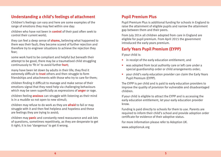### **Understanding a child's feelings of attachment**

Children's feelings can vary and here are some examples of the range of emotions they may feel within one day:

children who have not been in **control** of their past often seek to control their current world;

they can feel a deep sense of **shame,** believing what happened to them was their fault; they become scared of further rejection and therefore try to engineer situations to achieve the rejection they fear;

some work hard to be compliant and helpful but beneath their attempt to be good, there may be a traumatised child struggling continuously to 'fit in' to avoid further **hurt**;

many have been let down by adults in their life; they find it extremely difficult to **trust** others and then struggle to form friendships and attachments with those who try to care for them;

children finding it difficult to manage and make sense of their emotions signal that they need help via challenging behaviours which may be seen superficially as expressions of **anger** or rage.

children feeling **anxious** can struggle with listening as their mind is in a muddle so not open to new stimuli;

children may refuse to do work as they are **afraid** to fail or may struggle with it and then feel helpless and hopeless and these are feelings they are trying to avoid;

children may **panic** and constantly need reassurance and ask lots of questions, sometimes repetitively, as they are desperate to get it right; it is too 'dangerous' to get it wrong.

### **Pupil Premium Plus**

Pupil Premium Plus is additional funding for schools in England to raise the attainment of eligible pupils and narrow the attainment gap between them and their peers.

From July 2014 all children adopted from care in England are eligible for pupil premium. From April 2015 the government introduced the early years premium.

## **Early Years Pupil Premium (EYPP)**

If your child is:

- in receipt of the early education entitlement; and
- was adopted from local authority care or left care under a special guardianship order or child arrangements order;
- your child's early education provider can claim the Early Years Pupil Premium (EYPP).

The EYPP is per child and is paid to early education providers to improve the quality of provision for vulnerable and disadvantaged children.

If your child is eligible to attract the EYPP and is accessing the early education entitlement, let your early education provider know.

Funding is paid directly to schools for them to use. Parents are required to inform their child's school and provide adoption order certificate for evidence of their adoptive status.

For more information please refer to Adoption UK.

[www.adoptionuk.org](http://www.adoptionuk.org)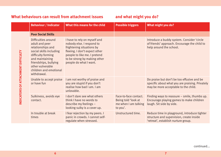|                                     | <b>Behaviour / Indicator</b>                                                                                                                                                                                         | What this means for the child                                                                                                                                                                                     | <b>Possible triggers</b>                                                         | What might you do?                                                                                                                    |
|-------------------------------------|----------------------------------------------------------------------------------------------------------------------------------------------------------------------------------------------------------------------|-------------------------------------------------------------------------------------------------------------------------------------------------------------------------------------------------------------------|----------------------------------------------------------------------------------|---------------------------------------------------------------------------------------------------------------------------------------|
| INDICATORS OF ATTACHMENT DIFFICULTY | <b>Poor Social Skills</b>                                                                                                                                                                                            |                                                                                                                                                                                                                   |                                                                                  |                                                                                                                                       |
|                                     | Difficulties around<br>adult and peer<br>relationships and<br>social skills including<br>difficulty forming<br>and maintaining<br>friendships, bullying<br>other vulnerable<br>children and emotional<br>withdrawal. | I have to rely on myself and<br>nobody else. I respond to<br>frightening situations by<br>fleeing. I don't expect other<br>people to like me. I pretend<br>to be strong by making other<br>people do what I want. |                                                                                  | Introduce a buddy system. Consider 'circle<br>of friends' approach. Encourage the child to<br>help around the school.                 |
|                                     | Unable to accept praise<br>or have fun                                                                                                                                                                               | I am not worthy of praise and<br>you are stupid if you don't<br>realise how bad I am. I am<br>unlovable.                                                                                                          |                                                                                  | Do praise but don't be too effusive and be<br>specific about what you are praising. Privately<br>may be more acceptable to the child. |
|                                     | Sulkiness, avoids eye<br>contact.                                                                                                                                                                                    | I don't dare see what others<br>think I have no words to<br>describe my feelings $-$<br>looking sulky is a cover up.                                                                                              | Face-to-face contact.<br>Being told 'look at<br>me when I am talking<br>to you'. | Finding ways to reassure - smile, thumbs up.<br>Encourage playing games to make children<br>laugh. Sit side by side.                  |
|                                     | In trouble at break<br>times                                                                                                                                                                                         | I fear rejection by my peers. I<br>panic in crowds. I cannot self-<br>regulate when stressed.                                                                                                                     | Unstructured time.                                                               | Reduce time in playground, introduce tighter<br>structure and supervision, create inside<br>'retreat', establish nurture group.       |

**6 7**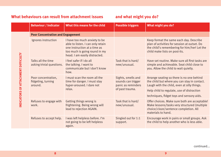|                                    | <b>Behaviour / Indicator</b>                         | What this means for the child                                                                                                                                        | <b>Possible triggers</b>                                                          | What might you do?                                                                                                                                                                                                                  |
|------------------------------------|------------------------------------------------------|----------------------------------------------------------------------------------------------------------------------------------------------------------------------|-----------------------------------------------------------------------------------|-------------------------------------------------------------------------------------------------------------------------------------------------------------------------------------------------------------------------------------|
| NDICATORS OF ATTACHMENT DIFFICULTY | <b>Poor Concentration and Engagement</b>             |                                                                                                                                                                      |                                                                                   |                                                                                                                                                                                                                                     |
|                                    | Ignores instruction                                  | I have too much anxiety to be<br>able to listen. I can only retain<br>one instruction at a time as<br>too much is going round in my<br>head. I am easily distracted. |                                                                                   | Keep format the same each day. Describe<br>plan of activities for session at outset. Do<br>the child's remembering for him/her! Let the<br>child make lists on post-its.                                                            |
|                                    | Talks all the time<br>asking trivial questions.      | I feel safer if I do all<br>the talking. I want to<br>communicate but I don't know<br>how.                                                                           | Task that is hard/<br>new/unusual.                                                | Have set routine. Make sure all first tasks are<br>simple and achievable. Seat child close to<br>you. Allow the child to wait quietly.                                                                                              |
|                                    | Poor concentration,<br>fidgeting, turning<br>around. | I must scan the room all the<br>time for danger. I must stay<br>hyper-aroused. I dare not<br>relax.                                                                  | Sights, smells and<br>sounds can trigger<br>panic as reminders<br>of past trauma. | Arrange seating so there is no one behind<br>the child but where you can stay in contact.<br>Laugh with the child, even at silly things.<br>Help child to regulate, use of distraction<br>techniques, fidget toys and sensory aids. |
|                                    | Refuses to engage with<br>work.                      | Getting things wrong is<br>frightening. Being wrong will<br>lead to rejection AGAIN.                                                                                 | Task that is hard/<br>new/unusual.                                                | Offer choices. Make sure both are acceptable!<br>Make lessons/tasks very structured (multiple<br>choice/cloze/sentence completion. All<br>materials to hand.                                                                        |
|                                    | Refuses to accept help.                              | I was left helpless before. I'm<br>not going to be left helpless<br>again.                                                                                           | Singled out for 1:1<br>support.                                                   | Encourage work in pairs or small groups. Ask<br>the child to help another who is less able.                                                                                                                                         |

continued...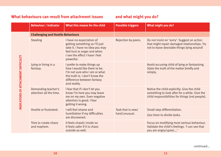|                                     | <b>Behaviour / Indicator</b>                   | What this means for the child                                                                                                                                               | <b>Possible triggers</b>           | What might you do?                                                                                                                              |
|-------------------------------------|------------------------------------------------|-----------------------------------------------------------------------------------------------------------------------------------------------------------------------------|------------------------------------|-------------------------------------------------------------------------------------------------------------------------------------------------|
| INDICATORS OF ATTACHMENT DIFFICULTY | <b>Challenging and Hostile Behaviours</b>      |                                                                                                                                                                             |                                    |                                                                                                                                                 |
|                                     | <b>Stealing</b>                                | I have no expectation of<br>getting something so I'll just<br>take it. I have no idea you may<br>feel hurt or anger and when<br>I see the effect I have I feel<br>powerful. | Rejection by peers.                | Do not insist on 'sorry'. Suggest an action<br>that might repair damaged relationships. Try<br>not to leave desirable things lying around!      |
|                                     | Lying or living in a<br>fantasy.               | I prefer to make things up<br>how I would like them to be.<br>I'm not sure who I am or what<br>the truth is. I don't know the<br>difference between fantasy<br>and reality. |                                    | Avoid accusing child of lying or fantasising.<br>State the truth of the matter briefly and<br>simply.                                           |
|                                     | Demanding teacher's<br>attention all the time. | I fear that if I don't let you<br>know I'm here you may leave<br>me on my own. Even negative<br>attention is good. I fear<br>getting it wrong.                              |                                    | Notice the child explicitly. Give the child<br>something to look after for a while. Give the<br>child responsibilities for things (not people). |
|                                     | Hostile or frustrated.                         | I will feel shame and<br>humiliation if my difficulties<br>are discovered.                                                                                                  | Task that is new/<br>hard/unusual. | Small step differentiation.<br>Use timer to divide tasks.                                                                                       |
|                                     | Tries to create chaos<br>and mayhem.           | It feels chaotic inside so<br>it feels safer if it is chaos<br>outside as well.                                                                                             |                                    | Focus on modifying most serious behaviour.<br>Validate the child's feelings. 'I can see that<br>you are angry/upset'                            |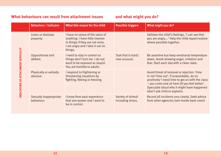|                                    | <b>Behaviour / Indicator</b>         | What this means for the child                                                                                                                        | <b>Possible triggers</b>                | What might you do?                                                                                                                                                                                                                                                          |
|------------------------------------|--------------------------------------|------------------------------------------------------------------------------------------------------------------------------------------------------|-----------------------------------------|-----------------------------------------------------------------------------------------------------------------------------------------------------------------------------------------------------------------------------------------------------------------------------|
| NDICATORS OF ATTACHMENT DIFFICULTY | Loses or destroys<br>property.       | I have no sense of the value of<br>anything. I have little interest<br>in things if they are not mine.<br>I am angry and I take it out on<br>things. |                                         | Validate the child's feelings, 'I can see that<br>you are angry' Help the child repair/restore<br>where possible together.                                                                                                                                                  |
|                                    | Oppositional and<br>defiant.         | I need to stay in control so<br>things don't hurt me. I do not<br>want to be exposed as stupid.<br>You are horrible to adults.                       | Task that is hard/<br>new unusual.      | Be assertive but keep emotional temperature<br>down. Avoid showing anger, irritation and<br>fear. Start each day with a clean slate.                                                                                                                                        |
|                                    | Physically or verbally<br>abusive.   | I respond to frightening or<br>threatening situations by<br>fighting, fleeing or freezing.                                                           |                                         | Avoid threat of removal or rejection. Time<br>in not 'time out'. If unavoidable, do so<br>positively 'I need time to get on with the class<br>- you come and sit here till you feel better'.<br>Speculate aloud why it might have happened<br>(don't ask child to explain). |
|                                    | Sexually inappropriate<br>behaviour. | I know from past experience<br>that sex=power and I want to<br>be in control.                                                                        | Variety of stimuli<br>including stress. | Record all incidents very clearly. Seek advice<br>from other agencies (see inside back cover).                                                                                                                                                                              |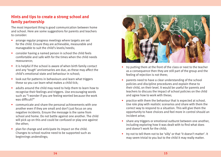## **Hints and tips to create a strong school and family partnership**

The most important thing is good communication between home and school. Here are some suggestions for parents and teachers to consider:

- **•** arrange regular progress meetings where targets are set for the child. Ensure they are achievable, measurable and manageable to suit the child's levels/needs;
- **•** consider having a named person in school the child feels comfortable and safe with for the times when the child needs reassurance;
- **•** it is helpful if the school is aware of when birth family contact and any 'tough' anniversaries are due, as these may affect the child's emotional state and behaviour in school;
- **•** look out for patterns in behaviours and learn what triggers these so you can learn what makes a child tick;
- **•** adults around the child may need to help them to learn how to recognise their feelings and triggers. Use encouraging words such as "I wonder if you are feeling worried because the work was difficult?"
- **•** communicate and share the personal achievements with one another even if they are small and don't just focus on any negative incidents. Ensure the message is the same from school and home. Do not battle against one another. The child will pick up on this and could be confused or play one against the other;
- **•** plan for change and anticipate its impact on the child. Changes to school routine need to be supported such as beginnings andendings;



- **•** try putting them at the front of the class or next to the teacher as a consequence then they are still part of the group and the feeling of rejection is not there;
- **•** parents need to have a clear understanding of the school policies and discipline procedures and explain these to their child, on their level. It would be useful for parents and teachers to discuss the impact of school policies on the child and agree how to work with these;
- **•** practice with them the behaviour that is expected at school. Use role play with realistic scenarios and share with them the correct way to respond to a situation. This will give them the opportunity to have choices and feel more in control should an incident arise;
- **•** share any triggers or emotional outburst between one another, including exploring how it was dealt with to find what does and doesn't work for the child;
- **•** try not to tell them not to be 'silly' or that 'it doesn't matter'. It may seem trivial to you but to the child it may really matter.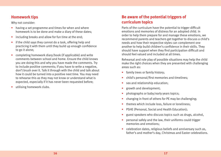### **Homework tips**

Why not consider:

- having a set programme and times for when and where homework is to be done and make a diary of these dates;
- including breaks and allow for fun time at the end;
- if the child says they cannot do a task, offering help and practicing it with them until they build up enough confidence to go it alone;
- completing homework diary/book (if applicable) and write comments between school and home. Ensure the child knows you are doing this and why you have made the comments. Try to include positive comments; if you have to write a negative, don't brush over it. Talk it through with the child and talk about how it could be turned into a positive next time. You may need to rehearse this as they may not know or understand what is expected, especially if it has never been requested before;
- utilising homework clubs.

# **Be aware of the potential triggers of curriculum topics**

Parts of the curriculum have the potential to trigger difficult emotions and memories of distress for an adopted child. In order to help them prepare for and manage these emotions, we recommend parents and teachers get together to discuss a child's needs and how their respective styles can complement one another to help build children's confidence in their skills. They should have support when they find participation difficult and should feel valued and included at all times.

Rehearsal and role play of possible situations may help the child make the right choices when they are presented with challenging areas such as:

- **•** family trees or family history;
- **•** child's personal/first memories and timelines;
- **•** sex and relationship education;
- **•** growth and development;
- **•** photographs or baby/early years topics;
- **•** changing in front of others for PE may be challenging;
- **•** themes which include loss, failure or loneliness;
- **•** PSHE (Personal, Social and Health Education);
- **•** guest speakers who discuss topics such as drugs, alcohol,
- **•** personal safely and the law, their uniforms could trigger memories and emotions;
- **•** celebration dates, religious beliefs and anniversary such as, father's and mother's day, Christmas and Easter celebrations.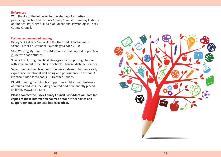### **References**

With thanks to the following for the sharing of expertise in producing this booklet: Suffolk County Council; Theraplay Institute of America; Raj Singh Gill, Senior Educational Psychologist, Essex County Council.

### **Further recommended reading**

Bailey S. & Gill R.S. Survival of the Nurtured: Attachment in School, Essex Educational Psychology Service 2010.

Stop Wasting My Time! Post Adoption Central Support: a practical guide with case studies.

'Inside I'm Hurting: Practical Strategies for Supporting Children with Attachment Difficulties in Schools'. Louise Michelle Bomber.

'Attachment in the Classroom: The links between children's early experience, emotional well-being and performance in school: A Practical Guide for Schools. Dr Heather Geddes

PAC-Uk Training for Schools - Supporting children with histories of trauma and loss, Including adopted and permanently placed children. www.pac-uk.org

**Please contact the Essex County Council Post Adoption Team for copies of these information sources or for further advice and support generally; contact details overleaf.**